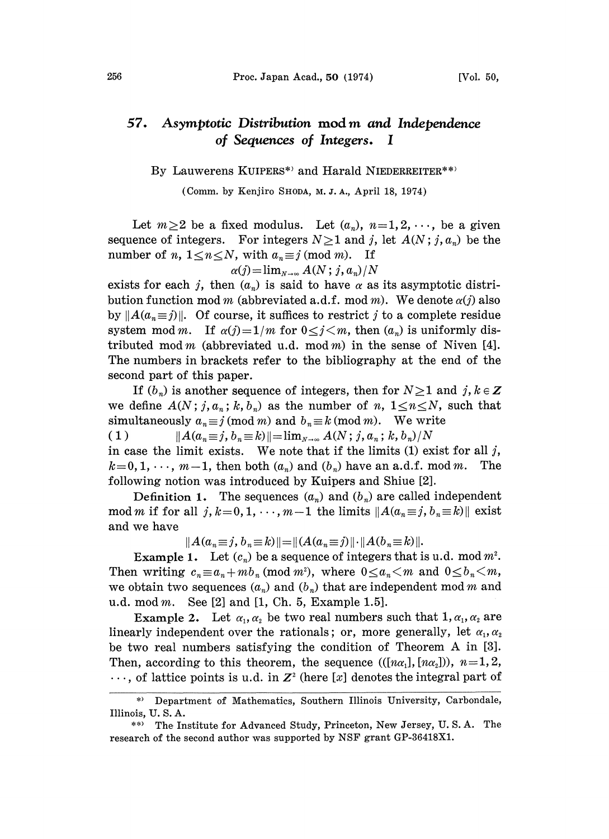## 57. Asymptotic Distribution mod m and Independence of Sequences of Integers. <sup>I</sup>

## By Lauwerens KUIPERS\*) and Harald NIEDERREITER\*\*)

(Comm. by Kenjiro SHODA, M.J.A., April 18, 1974)

Let  $m\geq 2$  be a fixed modulus. Let  $(a_n), n=1,2,\dots$ , be a given sequence of integers. For integers  $N\geq 1$  and j, let  $A(N;j, a_n)$  be the number of *n*,  $1 \le n \le N$ , with  $a_n \equiv j \pmod{m}$ . If

$$
\alpha(j) = \lim_{N \to \infty} A(N; j, a_n) / N
$$

exists for each j, then  $(a_n)$  is said to have  $\alpha$  as its asymptotic distribution function mod m (abbreviated a.d.f. mod m). We denote  $\alpha(j)$  also by  $||A(a_n \equiv j)||$ . Of course, it suffices to restrict j to a complete residue system mod m. If  $\alpha(j)=1/m$  for  $0 \le j \le m$ , then  $(a_n)$  is uniformly distributed mod m (abbreviated u.d. mod m) in the sense of Niven [4]. The numbers in brackets refer to the bibliography at the end of the second part of this paper.

If  $(b_n)$  is another sequence of integers, then for  $N\geq 1$  and  $j, k \in \mathbb{Z}$ we define  $A(N; j, a_n; k, b_n)$  as the number of n,  $1 \le n \le N$ , such that simultaneously  $a_n \equiv j \pmod{m}$  and  $b_n \equiv k \pmod{m}$ . We write ( 1 )  $||A(a_n \equiv j, b_n \equiv k)||= \lim_{N\to\infty} A(N; j, a_n; k, b_n)/N$ 

in case the limit exists. We note that if the limits  $(1)$  exist for all j,  $k=0, 1, \dots, m-1$ , then both  $(a_n)$  and  $(b_n)$  have an a.d.f. mod m. The following notion was introduced by Kuipers and Shiue [2].

Definition 1. The sequences  $(a_n)$  and  $(b_n)$  are called independent mod m if for all  $j, k=0, 1, \dots, m-1$  the limits  $||A(a_n \equiv j, b_n \equiv k)||$  exist and we have

 $||A(a_n \equiv j, b_n \equiv k)|| = ||(A(a_n \equiv j) || \cdot ||A(b_n \equiv k)||.$ 

Example 1. Let  $(c_n)$  be a sequence of integers that is u.d. mod  $m^2$ . Then writing  $c_n \equiv a_n + mb_n \pmod{m^2}$ , where  $0 \le a_n < m$  and  $0 \le b_n < m$ , we obtain two sequences  $(a_n)$  and  $(b_n)$  that are independent mod m and u.d. mod  $m$ . See [2] and [1, Ch. 5, Example 1.5].

Example 2. Let  $\alpha_1, \alpha_2$  be two real numbers such that  $1, \alpha_1, \alpha_2$  are linearly independent over the rationals; or, more generally, let  $\alpha_1, \alpha_2$ be two real numbers satisfying the condition of Theorem A in [3]. Then, according to this theorem, the sequence  $((n\alpha_1), (n\alpha_2))$ ,  $n=1, 2$ ,  $\ldots$ , of lattice points is u.d. in  $\mathbb{Z}^2$  (here [x] denotes the integral part of

<sup>\*)</sup> Department of Mathematics, Southern Illinois University, Carbondale, Illinois, U. S. A.

<sup>\*\*)</sup> The Institute for Advanced Study, Princeton, New Jersey, U.S.A. The research of the second author was supported by NSF grant GP-36418X1.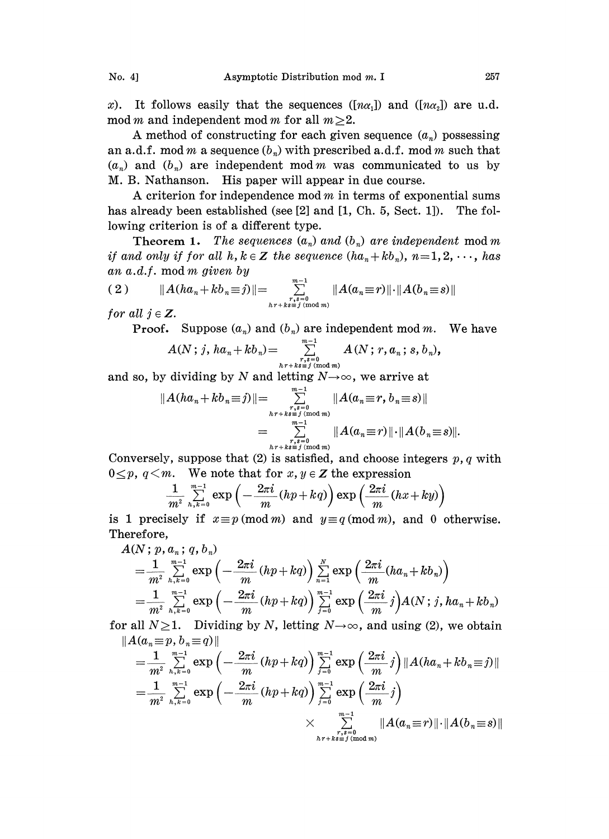x). It follows easily that the sequences  $(\lceil n\alpha_1 \rceil)$  and  $(\lceil n\alpha_2 \rceil)$  are u.d. mod m and independent mod m for all  $m\geq 2$ .

A method of constructing for each given sequence  $(a_n)$  possessing an a.d.f. mod m a sequence  $(b_n)$  with prescribed a.d.f. mod m such that  $(a_n)$  and  $(b_n)$  are independent mod m was communicated to us by M. B. Nathanson. His paper will appear in due course.

A criterion for independence mod  $m$  in terms of exponential sums has already been established (see  $[2]$  and  $[1, Ch. 5, Sect. 1]$ ). The following criterion is of a different type.

**Theorem 1.** The sequences  $(a_n)$  and  $(b_n)$  are independent mod m if and only if for all  $h, k \in \mathbb{Z}$  the sequence  $(ha_n + kb_n), n=1, 2, \dots$ , has an a.d.f, mod m given by

(2) 
$$
||A(ha_n+kb_n\equiv j)||=\sum_{\substack{r,s=0 \ h r+ks\equiv j \pmod{m} \\ n \text{ mod } m}}^{m-1} ||A(a_n\equiv r)|| \cdot ||A(b_n\equiv s)||
$$
  
for all  $j \in \mathbb{Z}$ .  
Proof. Suppose  $(a_n)$  and  $(b_n)$  are independent mod m. We have

for all  $j \in \mathbb{Z}$ .

$$
A(N;j,ha_n+kb_n)=\sum_{\substack{r,s=0\\ h\,r+k\,s\equiv\,j\,\,(\text{mod }m)}}^{m-1}A(N;r,a_n;s,b_n),
$$

and so, by dividing by N and letting  $N\rightarrow\infty$ , we arrive at

$$
||A(ha_n+kb_n\equiv j)||=\sum_{\substack{r,s=0\\n+r+ks\equiv j\pmod{m}\\r-s\equiv j\\kr+ks\equiv j\pmod{m}}}^{\substack{m-1\\n-1\\n-r,ss=j\pmod{m}}}||A(a_n\equiv r, b_n\equiv s)||
$$
  

$$
=\sum_{\substack{r,s=0\\n+r+ks\equiv j\pmod{m}}}^{\substack{m-1\\n-1\\n-m}}||A(a_n\equiv r, b_n\equiv s)||.
$$

Conversely, suppose that  $(2)$  is satisfied, and choose integers p, q with  $0 \leq p, q < m$ . We note that for  $x, y \in \mathbb{Z}$  the expression

$$
\frac{1}{m^2}\sum_{h,k=0}^{m-1}\exp\left(-\frac{2\pi i}{m}(hp+kq)\right)\exp\left(\frac{2\pi i}{m}(hx+ky)\right)
$$

is 1 precisely if  $x \equiv p \pmod{m}$  and  $y \equiv q \pmod{m}$ , and 0 otherwise. Therefore,

$$
A(N; p, a_n; q, b_n)
$$
  
=  $\frac{1}{m^2} \sum_{h,k=0}^{m-1} \exp \left(-\frac{2\pi i}{m} (hp + kq) \right) \sum_{n=1}^{N} \exp \left(\frac{2\pi i}{m} (ha_n + kb_n) \right)$   
=  $\frac{1}{m^2} \sum_{h,k=0}^{m-1} \exp \left(-\frac{2\pi i}{m} (hp + kq) \right) \sum_{j=0}^{m-1} \exp \left(\frac{2\pi i}{m} j \right) A(N; j, ha_n + kb_n)$ 

for all  $N\geq 1$ . Dividing by N, letting  $N\rightarrow\infty$ , and using (2), we obtain  $||A(a_n \equiv p, b_n \equiv q)||$ 

$$
=\frac{1}{m^{2}}\sum_{h,k=0}^{m-1}\exp\left(-\frac{2\pi i}{m}(hp+kq)\right)\sum_{j=0}^{m-1}\exp\left(\frac{2\pi i}{m}j\right)\|A(ha_{n}+kb_{n}\equiv j)\|
$$
  

$$
=\frac{1}{m^{2}}\sum_{h,k=0}^{m-1}\exp\left(-\frac{2\pi i}{m}(hp+kq)\right)\sum_{j=0}^{m-1}\exp\left(\frac{2\pi i}{m}j\right)
$$
  

$$
\times \sum_{\substack{r,s=0\\hr+k\equiv j\,(\text{mod }m)}}^{\infty}\|A(a_{n}\equiv r)\| \cdot \|A(b_{n}\equiv s)\|
$$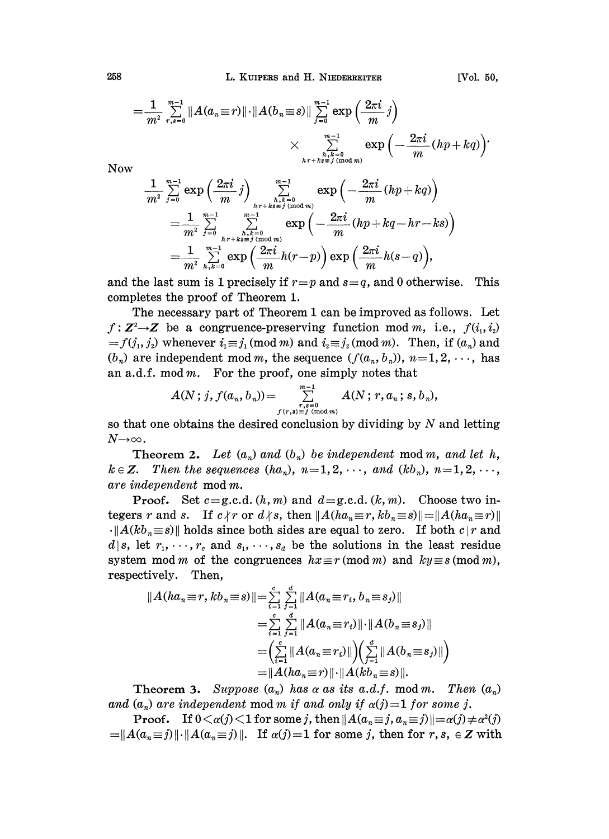$$
=\frac{1}{m^2}\sum_{r,s=0}^{m-1}||A(a_n\equiv r)||\cdot||A(b_n\equiv s)||\sum_{j=0}^{m-1}\exp\left(\frac{2\pi i}{m}j\right)\\
\times \sum_{\substack{n,r=0\\ h,r+ks\equiv j\,(\text{mod }m)}}^{m-1}\exp\left(-\frac{2\pi i}{m}(hp+kq)\right).
$$

Now

$$
\begin{split} \frac{1}{m^2}\sum_{j=0}^{m-1}\exp\left(\frac{2\pi i}{m}j\right) & \sum_{\substack{h,k=0\\ h r+k s \equiv j \,(\text{mod } m)}}^{m-1}\exp\left(-\frac{2\pi i}{m}(hp+kq)\right) \\ = & \frac{1}{m^2}\sum_{j=0}^{m-1}\sum_{\substack{h,k=0\\ h r+k s \equiv j \,(\text{mod } m)}}^{m-1}\exp\left(-\frac{2\pi i}{m}(hp+kq-hr-ks)\right) \\ = & \frac{1}{m^2}\sum_{h,k=0}^{m-1}\exp\left(\frac{2\pi i}{m}h(r-p)\right)\exp\left(\frac{2\pi i}{m}h(s-q)\right), \end{split}
$$

and the last sum is 1 precisely if  $r=p$  and  $s=q$ , and 0 otherwise. completes the proof of Theorem 1. This

The necessary part of Theorem 1 can be improved as follows. Let  $f: \mathbb{Z}^2 \rightarrow \mathbb{Z}$  be a congruence-preserving function mod m, i.e.,  $f(i_1, i_2)$  $=f(j_1, j_2)$  whenever  $i_1 \equiv j_1 \pmod{m}$  and  $i_2 \equiv j_2 \pmod{m}$ . Then, if  $(a_n)$  and  $(b_n)$  are independent mod m, the sequence  $(f(a_n, b_n))$ ,  $n=1, 2, \dots$ , has an a.d.f. mod  $m$ . For the proof, one simply notes that

$$
A(N; j, f(a_n, b_n)) = \sum_{\substack{r,s=0\\f(r,s)\equiv j\pmod m}}^{m-1} A(N; r, a_n; s, b_n),
$$

so that one obtains the desired conclusion by dividing by  $N$  and letting  $N{\rightarrow}\infty$  .

**Theorem 2.** Let  $(a_n)$  and  $(b_n)$  be independent mod m, and let h,  $k \in \mathbb{Z}$ . Then the sequences  $(ha_n)$ ,  $n=1,2,\cdots$ , and  $(kb_n)$ ,  $n=1,2,\cdots$ , are independent mod m.

**Proof.** Set  $c = g.c.d. (h, m)$  and  $d = g.c.d. (k, m)$ . Choose two integers r and s. If  $c \nmid r$  or  $d \nmid s$ , then  $||A(ha_n \equiv r, kb_n \equiv s)|| = ||A(ha_n \equiv r)||$  $\cdot$   $||A(kb_n\equiv s)||$  holds since both sides are equal to zero. If both  $c | r$  and  $d|s$ , let  $r_1, \dots, r_c$  and  $s_1, \dots, s_d$  be the solutions in the least residue system mod m of the congruences  $hx \equiv r \pmod{m}$  and  $ky \equiv s \pmod{m}$ , respectively. Then,

$$
||A(ha_n \equiv r, kb_n \equiv s)|| = \sum_{i=1}^{c} \sum_{j=1}^{d} ||A(a_n \equiv r_i, b_n \equiv s_j)||
$$
  

$$
= \sum_{i=1}^{c} \sum_{j=1}^{d} ||A(a_n \equiv r_i)|| \cdot ||A(b_n \equiv s_j)||
$$
  

$$
= \left(\sum_{i=1}^{c} ||A(a_n \equiv r_i)|| \right) \left(\sum_{j=1}^{d} ||A(b_n \equiv s_j)||\right)
$$
  

$$
= ||A(ha_n \equiv r)|| \cdot ||A(kb_n \equiv s)||.
$$

Theorem 3. Suppose  $(a_n)$  has  $\alpha$  as its a.d.f. mod m. Then  $(a_n)$ and  $(a_n)$  are independent mod m if and only if  $\alpha(j)=1$  for some j.

**Proof.** If  $0 \lt \alpha(j) \lt 1$  for some j, then  $||A(a_n \equiv j, a_n \equiv j)|| = \alpha(j) \neq \alpha^2(j)$  $A(a_n \equiv j) \|\cdot\| A(a_n \equiv j) \|$ . If  $\alpha(j)=1$  for some j, then for  $r, s, \in \mathbb{Z}$  with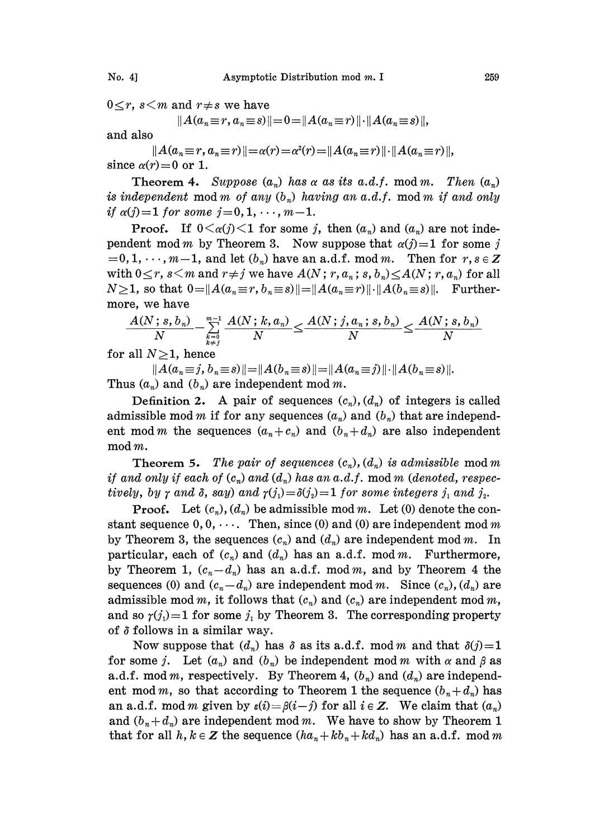$0 \leq r$ ,  $s < m$  and  $r \neq s$  we have

$$
||A(a_n \equiv r, a_n \equiv s)|| = 0 = ||A(a_n \equiv r)|| \cdot ||A(a_n \equiv s)||,
$$

and also

 $||A(a_n \equiv r, a_n \equiv r)|| = \alpha(r) = \alpha^2(r) = ||A(a_n \equiv r)|| \cdot ||A(a_n \equiv r)||,$ since  $\alpha(r)=0$  or 1.

Theorem 4. Suppose  $(a_n)$  has a as its a.d.f. mod m. Then  $(a_n)$ is independent mod m of any  $(b_n)$  having an a.d.f. mod m if and only if  $\alpha(j)=1$  for some  $j=0, 1, \dots, m-1$ .

**Proof.** If  $0 \leq \alpha(j) \leq 1$  for some j, then  $(a_n)$  and  $(a_n)$  are not independent mod m by Theorem 3. Now suppose that  $\alpha(j)=1$  for some j  $=0, 1, \dots, m-1$ , and let  $(b_n)$  have an a.d.f. mod m. Then for  $r, s \in \mathbb{Z}$ with  $0 \le r$ ,  $s \le m$  and  $r \ne j$  we have  $A(N; r, a_n; s, b_n) \le A(N; r, a_n)$  for all  $N\geq 1$ , so that  $0=\|A(a_n\equiv r, b_n\equiv s)\|=\|A(a_n\equiv r)\| \cdot \|A(b_n\equiv s)\|$ . Furthermore, we have

$$
\frac{A(N\,;\,s,\,b_{\,n})}{N}\!-\!\sum\limits_{k=0\atop k\neq j}\limits^{m-1}\frac{A(N\,;\,k,a_{\,n})}{N}\!\leq\! \frac{A(N\,;\,j,a_{\,n}\,;\,s,\,b_{\,n})}{N}\!\leq\! \frac{A(N\,;\,s,\,b_{\,n})}{N}
$$

for all  $N\geq 1$ , hence

 $||A(a_n \equiv j, b_n \equiv s)|| = ||A(b_n \equiv s)|| = ||A(a_n \equiv j)|| \cdot ||A(b_n \equiv s)||.$ Thus  $(a_n)$  and  $(b_n)$  are independent mod m.

Definition 2. A pair of sequences  $(c_n)$ ,  $(d_n)$  of integers is called admissible mod m if for any sequences  $(a_n)$  and  $(b_n)$  that are independent mod *m* the sequences  $(a_n + c_n)$  and  $(b_n + d_n)$  are also independent mod m.

**Theorem 5.** The pair of sequences  $(c_n)$ ,  $(d_n)$  is admissible mod m if and only if each of  $(c_n)$  and  $(d_n)$  has an a.d.f. mod m (denoted, respectively, by  $\gamma$  and  $\delta$ , say) and  $\gamma(j_1)=\delta(j_2)=1$  for some integers  $j_1$  and  $j_2$ .

**Proof.** Let  $(c_n)$ ,  $(d_n)$  be admissible mod m. Let (0) denote the constant sequence  $0, 0, \cdots$ . Then, since (0) and (0) are independent mod m by Theorem 3, the sequences  $(c_n)$  and  $(d_n)$  are independent mod m. In particular, each of  $(c_n)$  and  $(d_n)$  has an a.d.f. mod m. Furthermore, by Theorem 1,  $(c_n-d_n)$  has an a.d.f. mod m, and by Theorem 4 the sequences (0) and  $(c_n-d_n)$  are independent mod m. Since  $(c_n)$ ,  $(d_n)$  are admissible mod m, it follows that  $(c_n)$  and  $(c_n)$  are independent mod m, and so  $\gamma(j) = 1$  for some  $j_1$  by Theorem 3. The corresponding property of  $\delta$  follows in a similar way.

Now suppose that  $(d_n)$  has  $\delta$  as its a.d.f. mod m and that  $\delta(j)=1$ for some j. Let  $(a_n)$  and  $(b_n)$  be independent mod m with  $\alpha$  and  $\beta$  as a.d.f. mod m, respectively. By Theorem 4,  $(b_n)$  and  $(d_n)$  are independent mod m, so that according to Theorem 1 the sequence  $(b_n + d_n)$  has an a.d.f. mod m given by  $\varepsilon(i)=\beta(i-j)$  for all  $i \in \mathbb{Z}$ . We claim that  $(a_n)$ and  $(b_n + d_n)$  are independent mod m. We have to show by Theorem 1 that for all  $h, k \in \mathbb{Z}$  the sequence  $(ha_n + kb_n + kd_n)$  has an a.d.f. mod m